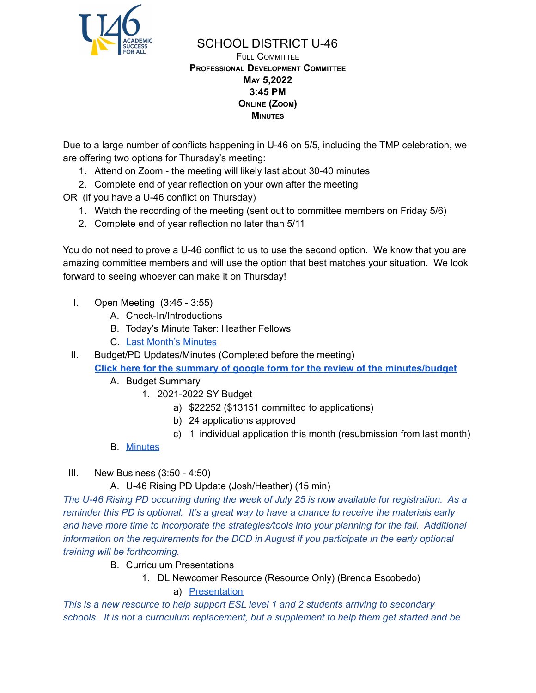

### SCHOOL DISTRICT U-46 FULL COMMITTEE **PROFESSIONAL DEVELOPMENT COMMITTEE MAY 5,2022 3:45 PM ONLINE (ZOOM) MINUTES**

Due to a large number of conflicts happening in U-46 on 5/5, including the TMP celebration, we are offering two options for Thursday's meeting:

- 1. Attend on Zoom the meeting will likely last about 30-40 minutes
- 2. Complete end of year reflection on your own after the meeting

OR (if you have a U-46 conflict on Thursday)

- 1. Watch the recording of the meeting (sent out to committee members on Friday 5/6)
- 2. Complete end of year reflection no later than 5/11

You do not need to prove a U-46 conflict to us to use the second option. We know that you are amazing committee members and will use the option that best matches your situation. We look forward to seeing whoever can make it on Thursday!

- I. Open Meeting (3:45 3:55)
	- A. Check-In/Introductions
	- B. Today's Minute Taker: Heather Fellows
	- C. Last Month's [Minutes](https://www.u-46.org/site/handlers/filedownload.ashx?moduleinstanceid=40057&dataid=69169&FileName=4-7-22%20Minutes%20PD%20FC.pdf)

II. Budget/PD Updates/Minutes (Completed before the meeting) **Click here for the summary of google form for the review of the [minutes/budget](https://docs.google.com/forms/d/1KBZWS1tU57ruUmyq24LZ6CRAw9RV-voVXj-9MRkYVVM/viewanalytics)**

- A. Budget Summary
	- 1. 2021-2022 SY Budget
		- a) \$22252 (\$13151 committed to applications)
		- b) 24 applications approved
		- c) 1 individual application this month (resubmission from last month)
- B. [Minutes](https://www.u-46.org/site/handlers/filedownload.ashx?moduleinstanceid=40057&dataid=69169&FileName=4-7-22%20Minutes%20PD%20FC.pdf)

# III. New Business (3:50 - 4:50)

# A. U-46 Rising PD Update (Josh/Heather) (15 min)

*The U-46 Rising PD occurring during the week of July 25 is now available for registration. As a reminder this PD is optional. It's a great way to have a chance to receive the materials early and have more time to incorporate the strategies/tools into your planning for the fall. Additional information on the requirements for the DCD in August if you participate in the early optional training will be forthcoming.*

- B. Curriculum Presentations
	- 1. DL Newcomer Resource (Resource Only) (Brenda Escobedo)

a) [Presentation](https://docs.google.com/presentation/d/1xvS41Jkl04Ivt4_xr9MJCm94-SIN01pY/edit?usp=sharing&ouid=114155932067581146592&rtpof=true&sd=true)

*This is a new resource to help support ESL level 1 and 2 students arriving to secondary schools. It is not a curriculum replacement, but a supplement to help them get started and be*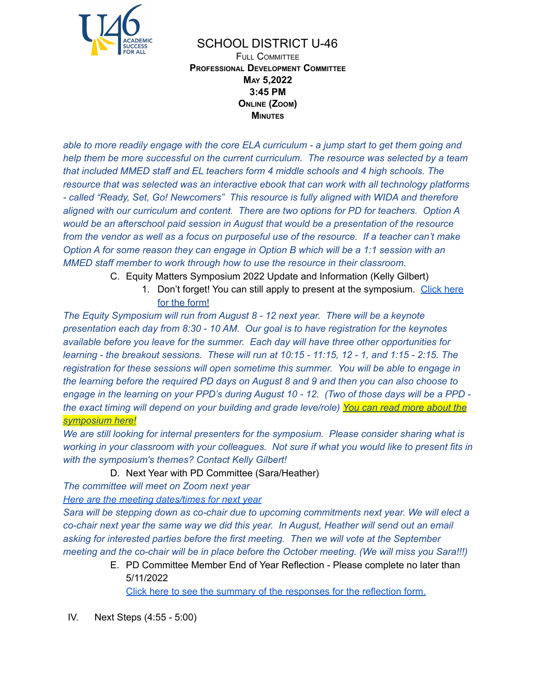

### SCHOOL DISTRICT U-46 FULL COMMITTEE **PROFESSIONAL DEVELOPMENT COMMITTEE MAY 5,2022 3:45 PM ONLINE (ZOOM) MINUTES**

able to more readily engage with the core ELA curriculum - a jump start to get them going and *help them be more successful on the current curriculum. The resource was selected by a team that included MMED staff and EL teachers form 4 middle schools and 4 high schools. The resource that was selected was an interactive ebook that can work with all technology platforms - called "Ready, Set, Go! Newcomers" This resource is fully aligned with WIDA and therefore aligned with our curriculum and content. There are two options for PD for teachers. Option A would be an afterschool paid session in August that would be a presentation of the resource* from the vendor as well as a focus on purposeful use of the resource. If a teacher can't make *Option A for some reason they can engage in Option B which will be a 1:1 session with an MMED staff member to work through how to use the resource in their classroom.*

- C. Equity Matters Symposium 2022 Update and Information (Kelly Gilbert)
	- 1. Don't forget! You can still apply to present at the symposium. [Click](https://docs.google.com/forms/d/e/1FAIpQLSdMJEd_ex-j8G8omdZMxiPKlfZwogiEO9QdBdDnvgpd2BLn_Q/viewform?usp=pp_url) here for the [form!](https://docs.google.com/forms/d/e/1FAIpQLSdMJEd_ex-j8G8omdZMxiPKlfZwogiEO9QdBdDnvgpd2BLn_Q/viewform?usp=pp_url)

*The Equity Symposium will run from August 8 - 12 next year. There will be a keynote presentation each day from 8:30 - 10 AM. Our goal is to have registration for the keynotes available before you leave for the summer. Each day will have three other opportunities for* learning - the breakout sessions. These will run at 10:15 - 11:15, 12 - 1, and 1:15 - 2:15. The *registration for these sessions will open sometime this summer. You will be able to engage in the learning before the required PD days on August 8 and 9 and then you can also choose to* engage in the learning on your PPD's during August 10 - 12. (Two of those days will be a PPD *the exact timing will depend on your building and grade leve/role) You can read more [about](https://www.u-46.org/Page/19068) the [symposium](https://www.u-46.org/Page/19068) here!*

*We are still looking for internal presenters for the symposium. Please consider sharing what is working in your classroom with your colleagues. Not sure if what you would like to present fits in with the symposium's themes? Contact Kelly Gilbert!*

#### D. Next Year with PD Committee (Sara/Heather)

*The committee will meet on Zoom next year*

*Here are the meeting [dates/times](https://docs.google.com/document/d/1Xg1_FVU9rc3knBWRDadHyL2aaTfqZHkQRQok0oapdhQ/edit?usp=sharing) for next year*

*Sara will be stepping down as co-chair due to upcoming commitments next year. We will elect a co-chair next year the same way we did this year. In August, Heather will send out an email asking for interested parties before the first meeting. Then we will vote at the September meeting and the co-chair will be in place before the October meeting. (We will miss you Sara!!!)*

> E. PD Committee Member End of Year Reflection - Please complete no later than 5/11/2022

Click here to see the summary of the [responses](https://docs.google.com/forms/d/1Zov-rPTaeCiGgER3K-KZvsocS5NjNpty6o3GEFOpCnM/viewanalytics) for the reflection form.